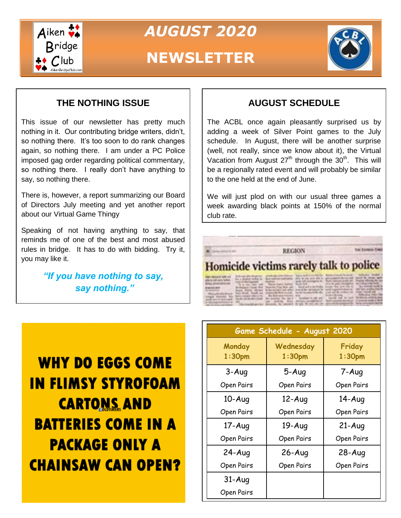

*AUGUST 2020*

# **NEWSLETTER**



**Tel Europe The** 

### **THE NOTHING ISSUE**

This issue of our newsletter has pretty much nothing in it. Our contributing bridge writers, didn't, so nothing there. It's too soon to do rank changes again, so nothing there. I am under a PC Police imposed gag order regarding political commentary, so nothing there. I really don't have anything to say, so nothing there.

There is, however, a report summarizing our Board of Directors July meeting and yet another report about our Virtual Game Thingy

Speaking of not having anything to say, that reminds me of one of the best and most abused rules in bridge. It has to do with bidding. Try it, you may like it.

> *"If you have nothing to say, say nothing."*

### **AUGUST SCHEDULE**

The ACBL once again pleasantly surprised us by adding a week of Silver Point games to the July schedule. In August, there will be another surprise (well, not really, since we know about it), the Virtual Vacation from August  $27<sup>th</sup>$  through the  $30<sup>th</sup>$ . This will be a regionally rated event and will probably be similar to the one held at the end of June.

We will just plod on with our usual three games a week awarding black points at 150% of the normal club rate.

### Homicide victims rarely talk to police

**REGION** 

| mount was the first asset perche. At his subscribers are controlled the percent of the file and the file<br>week-territoring the first deal dealers. The company of price is an excellent to the second company of the basic<br>A PERMITTENT PRODUCTION COMPANY. THE PER PER PERSON NUMBER CONTRACT A PARAMETER RES<br>Alle Annies automobile - Chicago Museum - Benedic, Ny separatry - Ny lol. To dat age on - specialistic systematic factor departure but all | <b>THEY GENERAL RIN AVE</b><br>alle is talk and, fallow.<br><b>Ring photographs</b><br><b>Brighton Hire</b> | Waterchildenburgh, West Week, Trank and International Automobile and the part of the reduction international con- | And one photograph, adults and in following the seat of countries to the first original in a structure design a<br>but a product scribing or . Seen such our modivation, click, brings with all the company furnished and ingress that design agency<br>to a character  wall in the company of the company of the company of the character of the company of the<br>The at man years read of these special heaters firmly doll to a firmly of a bright investment and computers below<br>Bolivaging Land that Hopeler Cap Rob and L. Built art a late Man. Sound by the Alle X. "In colorado and it |  |  |  |
|-------------------------------------------------------------------------------------------------------------------------------------------------------------------------------------------------------------------------------------------------------------------------------------------------------------------------------------------------------------------------------------------------------------------------------------------------------------------|-------------------------------------------------------------------------------------------------------------|-------------------------------------------------------------------------------------------------------------------|-----------------------------------------------------------------------------------------------------------------------------------------------------------------------------------------------------------------------------------------------------------------------------------------------------------------------------------------------------------------------------------------------------------------------------------------------------------------------------------------------------------------------------------------------------------------------------------------------------|--|--|--|
|-------------------------------------------------------------------------------------------------------------------------------------------------------------------------------------------------------------------------------------------------------------------------------------------------------------------------------------------------------------------------------------------------------------------------------------------------------------------|-------------------------------------------------------------------------------------------------------------|-------------------------------------------------------------------------------------------------------------------|-----------------------------------------------------------------------------------------------------------------------------------------------------------------------------------------------------------------------------------------------------------------------------------------------------------------------------------------------------------------------------------------------------------------------------------------------------------------------------------------------------------------------------------------------------------------------------------------------------|--|--|--|

**WHY DO EGGS COME IN FLIMSY STYROFOAM CARTONS AND BATTERIES COME IN A PACKAGE ONLY A CHAINSAW CAN OPEN?** 

| Game Schedule - August 2020  |                                 |                              |  |  |  |
|------------------------------|---------------------------------|------------------------------|--|--|--|
| Monday<br>1:30 <sub>pm</sub> | Wednesday<br>1:30 <sub>pm</sub> | Friday<br>1:30 <sub>pm</sub> |  |  |  |
| $3 - Aug$                    | $5-Auq$                         | 7-Aug                        |  |  |  |
| Open Pairs                   | Open Pairs                      | Open Pairs                   |  |  |  |
| $10 - Aug$                   | $12-Auq$                        | $14 - Aug$                   |  |  |  |
| Open Pairs                   | Open Pairs                      | Open Pairs                   |  |  |  |
| $17 - Aug$                   | $19 - Aug$                      | $21-Auq$                     |  |  |  |
| Open Pairs                   | Open Pairs                      | Open Pairs                   |  |  |  |
| $24-Auq$                     | $26 - Aug$                      | $28 - Aug$                   |  |  |  |
| Open Pairs                   | Open Pairs                      | Open Pairs                   |  |  |  |
| $31 - Aug$                   |                                 |                              |  |  |  |
| Open Pairs                   |                                 |                              |  |  |  |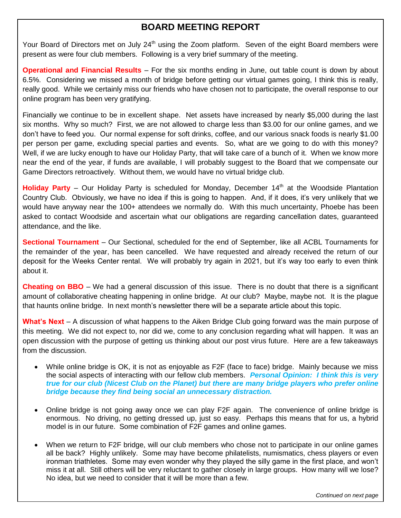#### **BOARD MEETING REPORT**

Your Board of Directors met on July 24<sup>th</sup> using the Zoom platform. Seven of the eight Board members were present as were four club members. Following is a very brief summary of the meeting.

**Operational and Financial Results** – For the six months ending in June, out table count is down by about 6.5%. Considering we missed a month of bridge before getting our virtual games going, I think this is really, really good. While we certainly miss our friends who have chosen not to participate, the overall response to our online program has been very gratifying.

Financially we continue to be in excellent shape. Net assets have increased by nearly \$5,000 during the last six months. Why so much? First, we are not allowed to charge less than \$3.00 for our online games, and we don't have to feed you. Our normal expense for soft drinks, coffee, and our various snack foods is nearly \$1.00 per person per game, excluding special parties and events. So, what are we going to do with this money? Well, if we are lucky enough to have our Holiday Party, that will take care of a bunch of it. When we know more near the end of the year, if funds are available, I will probably suggest to the Board that we compensate our Game Directors retroactively. Without them, we would have no virtual bridge club.

**Holiday Party** – Our Holiday Party is scheduled for Monday, December 14<sup>th</sup> at the Woodside Plantation Country Club. Obviously, we have no idea if this is going to happen. And, if it does, it's very unlikely that we would have anyway near the 100+ attendees we normally do. With this much uncertainty, Phoebe has been asked to contact Woodside and ascertain what our obligations are regarding cancellation dates, guaranteed attendance, and the like.

**Sectional Tournament** – Our Sectional, scheduled for the end of September, like all ACBL Tournaments for the remainder of the year, has been cancelled. We have requested and already received the return of our deposit for the Weeks Center rental. We will probably try again in 2021, but it's way too early to even think about it.

**Cheating on BBO** – We had a general discussion of this issue. There is no doubt that there is a significant amount of collaborative cheating happening in online bridge. At our club? Maybe, maybe not. It is the plague that haunts online bridge. In next month's newsletter there will be a separate article about this topic.

**What's Next** – A discussion of what happens to the Aiken Bridge Club going forward was the main purpose of this meeting. We did not expect to, nor did we, come to any conclusion regarding what will happen. It was an open discussion with the purpose of getting us thinking about our post virus future. Here are a few takeaways from the discussion.

- **Dental Bridge** *bridge because they find being social an unnecessary distraction.* While online bridge is OK, it is not as enjoyable as F2F (face to face) bridge. Mainly because we miss the social aspects of interacting with our fellow club members. *Personal Opinion: I think this is very true for our club (Nicest Club on the Planet) but there are many bridge players who prefer online*
- Online bridge is not going away once we can play F2F again. The convenience of online bridge is enormous. No driving, no getting dressed up, just so easy. Perhaps this means that for us, a hybrid model is in our future. Some combination of F2F games and online games.
- When we return to F2F bridge, will our club members who chose not to participate in our online games all be back? Highly unlikely. Some may have become philatelists, numismatics, chess players or even ironman triathletes. Some may even wonder why they played the silly game in the first place, and won't miss it at all. Still others will be very reluctant to gather closely in large groups. How many will we lose? No idea, but we need to consider that it will be more than a few.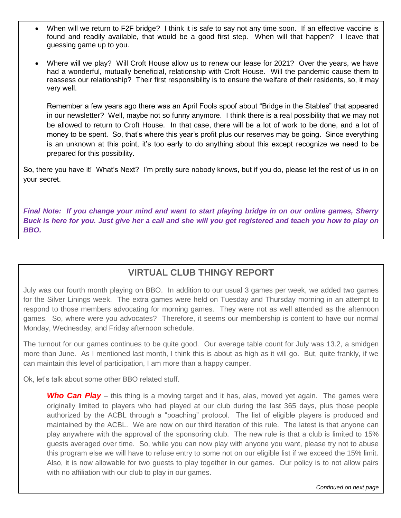- When will we return to F2F bridge? I think it is safe to say not any time soon. If an effective vaccine is found and readily available, that would be a good first step. When will that happen? I leave that guessing game up to you.
- Where will we play? Will Croft House allow us to renew our lease for 2021? Over the years, we have had a wonderful, mutually beneficial, relationship with Croft House. Will the pandemic cause them to reassess our relationship? Their first responsibility is to ensure the welfare of their residents, so, it may very well.

Remember a few years ago there was an April Fools spoof about "Bridge in the Stables" that appeared in our newsletter? Well, maybe not so funny anymore. I think there is a real possibility that we may not be allowed to return to Croft House. In that case, there will be a lot of work to be done, and a lot of money to be spent. So, that's where this year's profit plus our reserves may be going. Since everything is an unknown at this point, it's too early to do anything about this except recognize we need to be prepared for this possibility.

So, there you have it! What's Next? I'm pretty sure nobody knows, but if you do, please let the rest of us in on your secret.

*Final Note: If you change your mind and want to start playing bridge in on our online games, Sherry Buck is here for you. Just give her a call and she will you get registered and teach you how to play on BBO.*

### **VIRTUAL CLUB THINGY REPORT**

July was our fourth month playing on BBO. In addition to our usual 3 games per week, we added two games for the Silver Linings week. The extra games were held on Tuesday and Thursday morning in an attempt to respond to those members advocating for morning games. They were not as well attended as the afternoon games. So, where were you advocates? Therefore, it seems our membership is content to have our normal Monday, Wednesday, and Friday afternoon schedule.

The turnout for our games continues to be quite good. Our average table count for July was 13.2, a smidgen more than June. As I mentioned last month, I think this is about as high as it will go. But, quite frankly, if we can maintain this level of participation, I am more than a happy camper.

Ok, let's talk about some other BBO related stuff.

Ī

**Who Can Play** – this thing is a moving target and it has, alas, moved yet again. The games were originally limited to players who had played at our club during the last 365 days, plus those people authorized by the ACBL through a "poaching" protocol. The list of eligible players is produced and maintained by the ACBL. We are now on our third iteration of this rule. The latest is that anyone can play anywhere with the approval of the sponsoring club. The new rule is that a club is limited to 15% guests averaged over time. So, while you can now play with anyone you want, please try not to abuse this program else we will have to refuse entry to some not on our eligible list if we exceed the 15% limit. Also, it is now allowable for two guests to play together in our games. Our policy is to not allow pairs with no affiliation with our club to play in our games.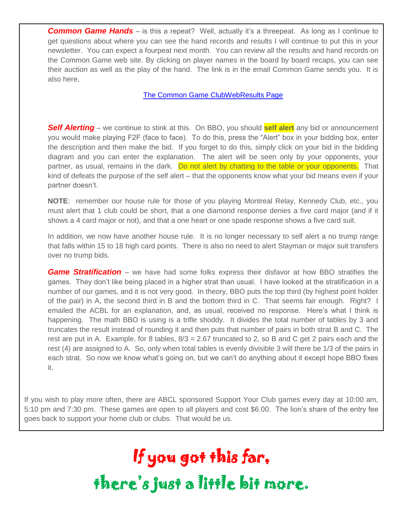**Common Game Hands** – is this a repeat? Well, actually it's a threepeat. As long as I continue to get questions about where you can see the hand records and results I will continue to put this in your newsletter. You can expect a fourpeat next month. You can review all the results and hand records on the Common Game web site. By clicking on player names in the board by board recaps, you can see their auction as well as the play of the hand. The link is in the email Common Game sends you. It is also here,

[The Common Game ClubWebResults Page](https://tcgcloud.bridgefinesse.com/ClubWebHost/146233/) 

*Self Alerting* – we continue to stink at this. On BBO, you should **self alert** any bid or announcement you would make playing F2F (face to face). To do this, press the "Alert" box in your bidding box, enter the description and then make the bid. If you forget to do this, simply click on your bid in the bidding diagram and you can enter the explanation. The alert will be seen only by your opponents, your partner, as usual, remains in the dark. Do not alert by chatting to the table or your opponents. That kind of defeats the purpose of the self alert – that the opponents know what your bid means even if your partner doesn't.

**NOTE**: remember our house rule for those of you playing Montreal Relay, Kennedy Club, etc., you must alert that 1 club could be short, that a one diamond response denies a five card major (and if it shows a 4 card major or not), and that a one heart or one spade response shows a five card suit.

In addition, we now have another house rule. It is no longer necessary to self alert a no trump range that falls within 15 to 18 high card points. There is also no need to alert Stayman or major suit transfers over no trump bids.

*Game Stratification* – we have had some folks express their disfavor at how BBO stratifies the games. They don't like being placed in a higher strat than usual. I have looked at the stratification in a number of our games, and it is not very good. In theory, BBO puts the top third (by highest point holder of the pair) in A, the second third in B and the bottom third in C. That seems fair enough. Right? I emailed the ACBL for an explanation, and, as usual, received no response. Here's what I think is happening. The math BBO is using is a trifle shoddy. It divides the total number of tables by 3 and truncates the result instead of rounding it and then puts that number of pairs in both strat B and C. The rest are put in A. Example, for 8 tables,  $8/3 = 2.67$  truncated to 2, so B and C get 2 pairs each and the rest (4) are assigned to A. So, only when total tables is evenly divisible 3 will there be 1/3 of the pairs in each strat. So now we know what's going on, but we can't do anything about it except hope BBO fixes it.

If you wish to play more often, there are ABCL sponsored Support Your Club games every day at 10:00 am, 5:10 pm and 7:30 pm. These games are open to all players and cost \$6.00. The lion's share of the entry fee goes back to support your home club or clubs. That would be us.

> If you got this far, there's just a little bit more.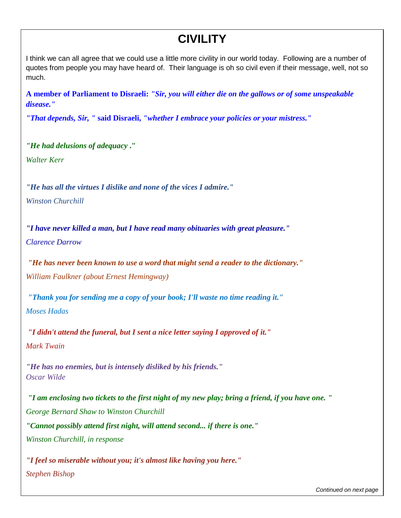## **CIVILITY**

I think we can all agree that we could use a little more civility in our world today. Following are a number of quotes from people you may have heard of. Their language is oh so civil even if their message, well, not so much.

**A member of Parliament to Disraeli:** *"Sir, you will either die on the gallows or of some unspeakable disease."*

*"That depends, Sir, "* **said Disraeli,** *"whether I embrace your policies or your mistress."*

*"He had delusions of adequacy* **."** *Walter Kerr*

*"He has all the virtues I dislike and none of the vices I admire." Winston Churchill*

*"I have never killed a man, but I have read many obituaries with great pleasure." Clarence Darrow*

*"He has never been known to use a word that might send a reader to the dictionary." William Faulkner (about Ernest Hemingway)*

*"Thank you for sending me a copy of your book; I'll waste no time reading it." Moses Hadas*

*"I didn't attend the funeral, but I sent a nice letter saying I approved of it." Mark Twain*

*"He has no enemies, but is intensely disliked by his friends." Oscar Wilde*

*"I am enclosing two tickets to the first night of my new play; bring a friend, if you have one. " George Bernard Shaw to Winston Churchill "Cannot possibly attend first night, will attend second... if there is one." Winston Churchill, in response*

*"I feel so miserable without you; it's almost like having you here." Stephen Bishop*